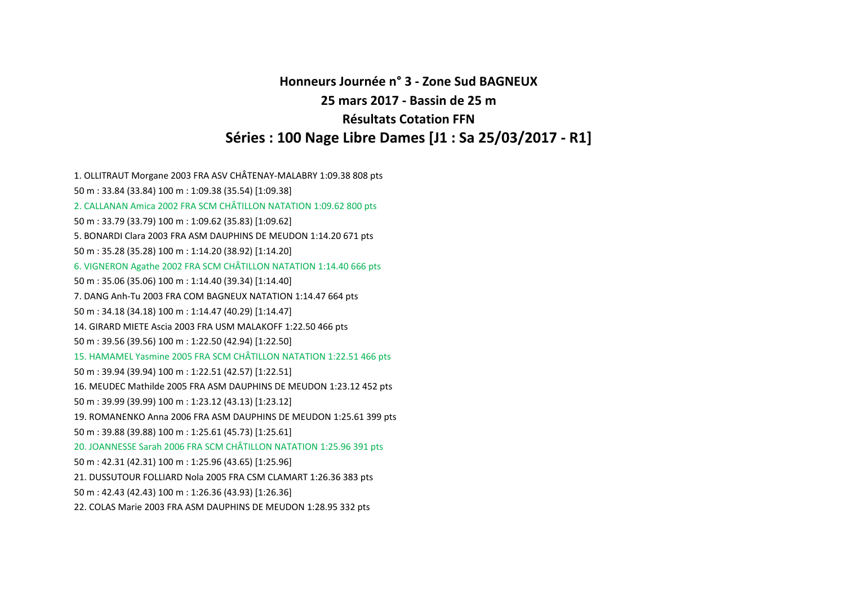**Honneurs Journée <sup>n</sup>° 3 ‐ Zone Sud BAGNEUX25 mars 2017 ‐ Bassin de 25 <sup>m</sup>Résultats Cotation FFNSéries : 100 Nage Libre Dames [J1 : Sa 25/03/2017 ‐ R1]**

1. OLLITRAUT Morgane <sup>2003</sup> FRA ASV CHÂTENAY‐MALABRY 1:09.38 <sup>808</sup> pts 50 m : 33.84 (33.84) 100 <sup>m</sup> : 1:09.38 (35.54) [1:09.38] 2. CALLANAN Amica 2002 FRA SCM CHÂTILLON NATATION 1:09.62 <sup>800</sup> pts 50 m : 33.79 (33.79) 100 <sup>m</sup> : 1:09.62 (35.83) [1:09.62] 5. BONARDI Clara 2003 FRA ASM DAUPHINS DE MEUDON 1:14.20 671 pts 50 m : 35.28 (35.28) 100 <sup>m</sup> : 1:14.20 (38.92) [1:14.20] 6. VIGNERON Agathe <sup>2002</sup> FRA SCM CHÂTILLON NATATION 1:14.40 <sup>666</sup> pts 50 m : 35.06 (35.06) 100 <sup>m</sup> : 1:14.40 (39.34) [1:14.40] 7. DANG Anh‐Tu 2003 FRA COM BAGNEUX NATATION 1:14.47 664 pts 50 m : 34.18 (34.18) 100 <sup>m</sup> : 1:14.47 (40.29) [1:14.47] 14. GIRARD MIETE Ascia 2003 FRA USM MALAKOFF 1:22.50 466 pts 50 m : 39.56 (39.56) 100 <sup>m</sup> : 1:22.50 (42.94) [1:22.50] 15. HAMAMEL Yasmine 2005 FRA SCM CHÂTILLON NATATION 1:22.51 <sup>466</sup> pts 50 m : 39.94 (39.94) 100 <sup>m</sup> : 1:22.51 (42.57) [1:22.51] 16. MEUDEC Mathilde 2005 FRA ASM DAUPHINS DE MEUDON 1:23.12 452 pts 50 m : 39.99 (39.99) 100 <sup>m</sup> : 1:23.12 (43.13) [1:23.12] 19. ROMANENKO Anna 2006 FRA ASM DAUPHINS DE MEUDON 1:25.61 399 pts 50 m : 39.88 (39.88) 100 <sup>m</sup> : 1:25.61 (45.73) [1:25.61] 20. JOANNESSE Sarah 2006 FRA SCM CHÂTILLON NATATION 1:25.96 <sup>391</sup> pts 50 m : 42.31 (42.31) 100 <sup>m</sup> : 1:25.96 (43.65) [1:25.96] 21. DUSSUTOUR FOLLIARD Nola 2005 FRA CSM CLAMART 1:26.36 383 pts 50 m : 42.43 (42.43) 100 <sup>m</sup> : 1:26.36 (43.93) [1:26.36] 22. COLAS Marie 2003 FRA ASM DAUPHINS DE MEUDON 1:28.95 332 pts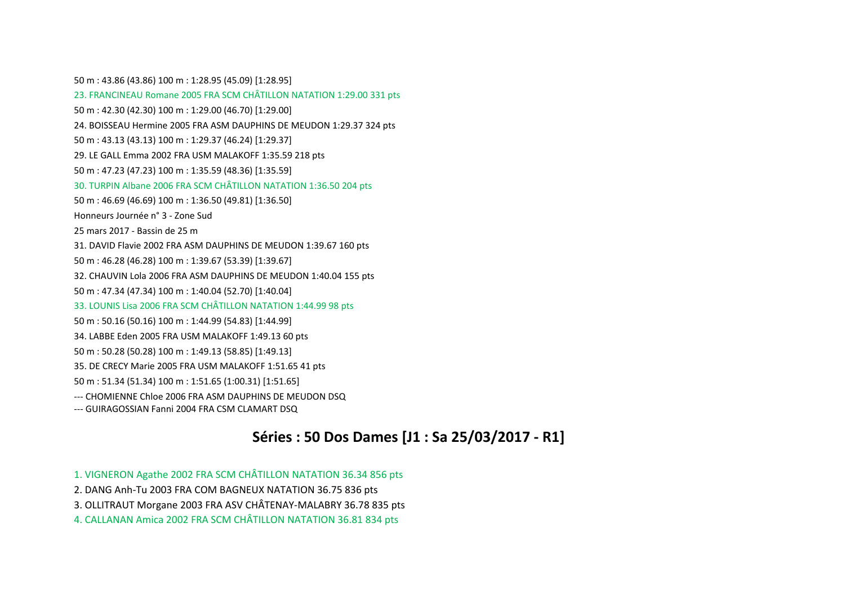50 m : 43.86 (43.86) 100 <sup>m</sup> : 1:28.95 (45.09) [1:28.95] 23. FRANCINEAU Romane 2005 FRA SCM CHÂTILLON NATATION 1:29.00 <sup>331</sup> pts 50 m : 42.30 (42.30) 100 <sup>m</sup> : 1:29.00 (46.70) [1:29.00] 24. BOISSEAU Hermine 2005 FRA ASM DAUPHINS DE MEUDON 1:29.37 324 pts 50 m : 43.13 (43.13) 100 <sup>m</sup> : 1:29.37 (46.24) [1:29.37] 29. LE GALL Emma 2002 FRA USM MALAKOFF 1:35.59 218 pts 50 m : 47.23 (47.23) 100 <sup>m</sup> : 1:35.59 (48.36) [1:35.59] 30. TURPIN Albane 2006 FRA SCM CHÂTILLON NATATION 1:36.50 <sup>204</sup> pts 50 m : 46.69 (46.69) 100 <sup>m</sup> : 1:36.50 (49.81) [1:36.50] Honneurs Journée <sup>n</sup>° 3 ‐ Zone Sud25 mars 2017 ‐ Bassin de 25 <sup>m</sup>31. DAVID Flavie 2002 FRA ASM DAUPHINS DE MEUDON 1:39.67 160 pts 50 m : 46.28 (46.28) 100 <sup>m</sup> : 1:39.67 (53.39) [1:39.67] 32. CHAUVIN Lola 2006 FRA ASM DAUPHINS DE MEUDON 1:40.04 155 pts 50 m : 47.34 (47.34) 100 <sup>m</sup> : 1:40.04 (52.70) [1:40.04] 33. LOUNIS Lisa 2006 FRA SCM CHÂTILLON NATATION 1:44.99 <sup>98</sup> pts 50 m : 50.16 (50.16) 100 <sup>m</sup> : 1:44.99 (54.83) [1:44.99] 34. LABBE Eden 2005 FRA USM MALAKOFF 1:49.13 60 pts 50 m : 50.28 (50.28) 100 <sup>m</sup> : 1:49.13 (58.85) [1:49.13] 35. DE CRECY Marie 2005 FRA USM MALAKOFF 1:51.65 41 pts 50 m : 51.34 (51.34) 100 <sup>m</sup> : 1:51.65 (1:00.31) [1:51.65] ‐‐‐ CHOMIENNE Chloe 2006 FRA ASM DAUPHINS DE MEUDON DSQ ‐‐‐ GUIRAGOSSIAN Fanni 2004 FRA CSM CLAMART DSQ

### **Séries : 50 Dos Dames [J1 : Sa 25/03/2017 ‐ R1]**

1. VIGNERON Agathe <sup>2002</sup> FRA SCM CHÂTILLON NATATION 36.34 <sup>856</sup> pts

2. DANG Anh‐Tu 2003 FRA COM BAGNEUX NATATION 36.75 836 pts

3. OLLITRAUT Morgane <sup>2003</sup> FRA ASV CHÂTENAY‐MALABRY 36.78 <sup>835</sup> pts

4. CALLANAN Amica 2002 FRA SCM CHÂTILLON NATATION 36.81 <sup>834</sup> pts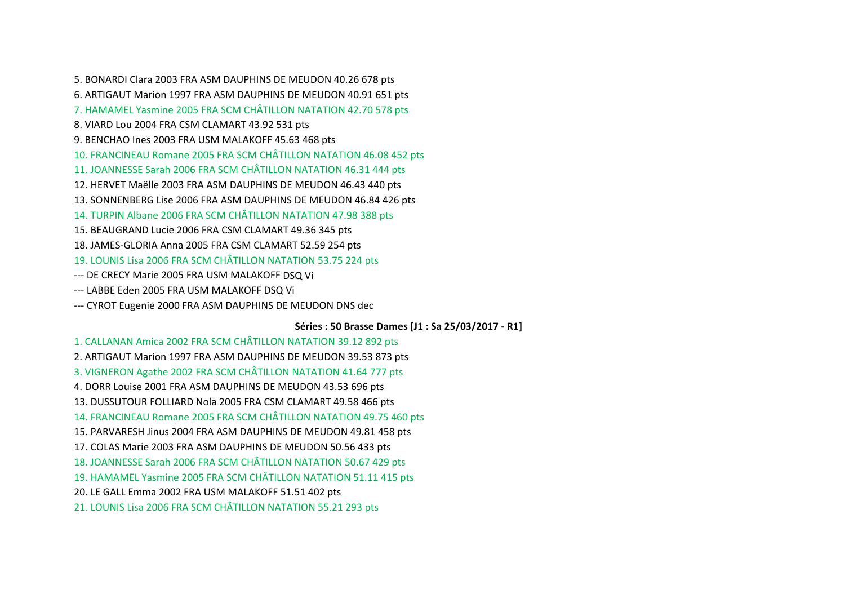5. BONARDI Clara 2003 FRA ASM DAUPHINS DE MEUDON 40.26 678 pts 6. ARTIGAUT Marion 1997 FRA ASM DAUPHINS DE MEUDON 40.91 651 pts 7. HAMAMEL Yasmine 2005 FRA SCM CHÂTILLON NATATION 42.70 <sup>578</sup> pts 8. VIARD Lou 2004 FRA CSM CLAMART 43.92 531 pts 9. BENCHAO Ines 2003 FRA USM MALAKOFF 45.63 468 pts 10. FRANCINEAU Romane 2005 FRA SCM CHÂTILLON NATATION 46.08 <sup>452</sup> pts 11. JOANNESSE Sarah 2006 FRA SCM CHÂTILLON NATATION 46.31 <sup>444</sup> pts 12. HERVET Maëlle 2003 FRA ASM DAUPHINS DE MEUDON 46.43 440 pts 13. SONNENBERG Lise 2006 FRA ASM DAUPHINS DE MEUDON 46.84 426 pts 14. TURPIN Albane 2006 FRA SCM CHÂTILLON NATATION 47.98 <sup>388</sup> pts 15. BEAUGRAND Lucie 2006 FRA CSM CLAMART 49.36 345 pts 18. JAMES‐GLORIA Anna 2005 FRA CSM CLAMART 52.59 254 pts 19. LOUNIS Lisa 2006 FRA SCM CHÂTILLON NATATION 53.75 <sup>224</sup> pts ‐‐‐ DE CRECY Marie 2005 FRA USM MALAKOFF DSQ Vi ‐‐‐ LABBE Eden 2005 FRA USM MALAKOFF DSQ Vi

‐‐‐ CYROT Eugenie 2000 FRA ASM DAUPHINS DE MEUDON DNS dec

**Séries : 50 Brasse Dames [J1 : Sa 25/03/2017 ‐ R1]**

1. CALLANAN Amica 2002 FRA SCM CHÂTILLON NATATION 39.12 <sup>892</sup> pts 2. ARTIGAUT Marion 1997 FRA ASM DAUPHINS DE MEUDON 39.53 873 pts 3. VIGNERON Agathe <sup>2002</sup> FRA SCM CHÂTILLON NATATION 41.64 <sup>777</sup> pts 4. DORR Louise 2001 FRA ASM DAUPHINS DE MEUDON 43.53 696 pts 13. DUSSUTOUR FOLLIARD Nola 2005 FRA CSM CLAMART 49.58 466 pts 14. FRANCINEAU Romane 2005 FRA SCM CHÂTILLON NATATION 49.75 <sup>460</sup> pts 15. PARVARESH Jinus 2004 FRA ASM DAUPHINS DE MEUDON 49.81 458 pts 17. COLAS Marie 2003 FRA ASM DAUPHINS DE MEUDON 50.56 433 pts 18. JOANNESSE Sarah 2006 FRA SCM CHÂTILLON NATATION 50.67 <sup>429</sup> pts 19. HAMAMEL Yasmine 2005 FRA SCM CHÂTILLON NATATION 51.11 <sup>415</sup> pts 20. LE GALL Emma 2002 FRA USM MALAKOFF 51.51 402 pts 21. LOUNIS Lisa 2006 FRA SCM CHÂTILLON NATATION 55.21 <sup>293</sup> pts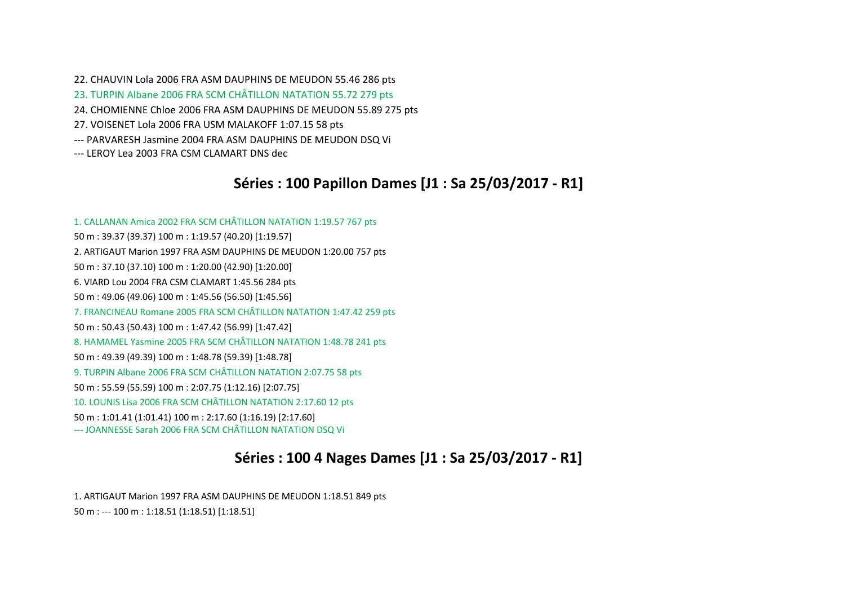22. CHAUVIN Lola 2006 FRA ASM DAUPHINS DE MEUDON 55.46 286 pts 23. TURPIN Albane 2006 FRA SCM CHÂTILLON NATATION 55.72 <sup>279</sup> pts 24. CHOMIENNE Chloe 2006 FRA ASM DAUPHINS DE MEUDON 55.89 275 pts 27. VOISENET Lola 2006 FRA USM MALAKOFF 1:07.15 58 pts ‐‐‐ PARVARESH Jasmine 2004 FRA ASM DAUPHINS DE MEUDON DSQ Vi ‐‐‐ LEROY Lea 2003 FRA CSM CLAMART DNS dec

### **Séries : 100 Papillon Dames [J1 : Sa 25/03/2017 ‐ R1]**

1. CALLANAN Amica 2002 FRA SCM CHÂTILLON NATATION 1:19.57 <sup>767</sup> pts 50 m : 39.37 (39.37) 100 <sup>m</sup> : 1:19.57 (40.20) [1:19.57] 2. ARTIGAUT Marion 1997 FRA ASM DAUPHINS DE MEUDON 1:20.00 757 pts 50 m : 37.10 (37.10) 100 <sup>m</sup> : 1:20.00 (42.90) [1:20.00] 6. VIARD Lou 2004 FRA CSM CLAMART 1:45.56 284 pts 50 m : 49.06 (49.06) 100 <sup>m</sup> : 1:45.56 (56.50) [1:45.56] 7. FRANCINEAU Romane 2005 FRA SCM CHÂTILLON NATATION 1:47.42 <sup>259</sup> pts 50 m : 50.43 (50.43) 100 <sup>m</sup> : 1:47.42 (56.99) [1:47.42] 8. HAMAMEL Yasmine 2005 FRA SCM CHÂTILLON NATATION 1:48.78 <sup>241</sup> pts 50 m : 49.39 (49.39) 100 <sup>m</sup> : 1:48.78 (59.39) [1:48.78] 9. TURPIN Albane 2006 FRA SCM CHÂTILLON NATATION 2:07.75 <sup>58</sup> pts 50 m : 55.59 (55.59) 100 <sup>m</sup> : 2:07.75 (1:12.16) [2:07.75] 10. LOUNIS Lisa 2006 FRA SCM CHÂTILLON NATATION 2:17.60 <sup>12</sup> pts 50 m : 1:01.41 (1:01.41) 100 <sup>m</sup> : 2:17.60 (1:16.19) [2:17.60] ‐‐‐ JOANNESSE Sarah 2006 FRA SCM CHÂTILLON NATATION DSQ Vi

# **Séries : 100 4 Nages Dames [J1 : Sa 25/03/2017 ‐ R1]**

1. ARTIGAUT Marion 1997 FRA ASM DAUPHINS DE MEUDON 1:18.51 849 pts 50 m : ‐‐‐ 100 <sup>m</sup> : 1:18.51 (1:18.51) [1:18.51]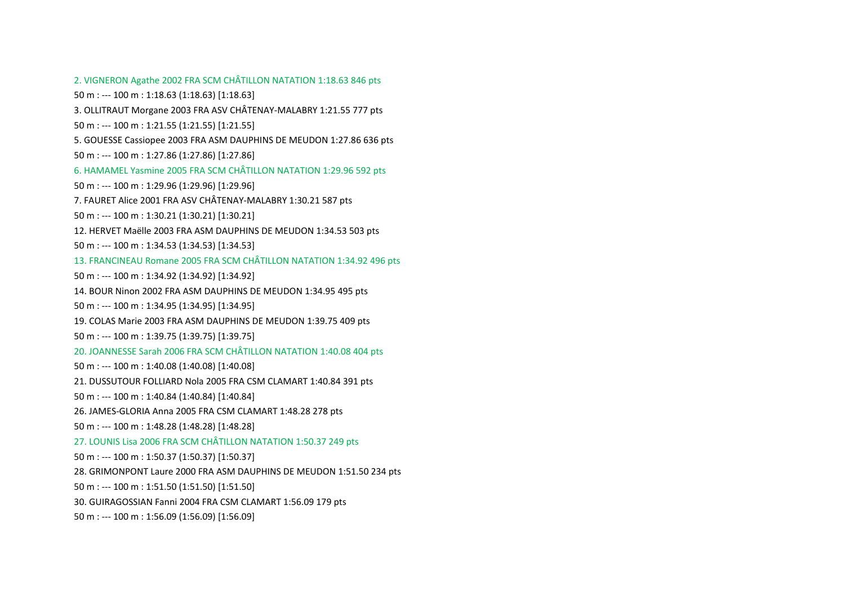2. VIGNERON Agathe <sup>2002</sup> FRA SCM CHÂTILLON NATATION 1:18.63 <sup>846</sup> pts 50 m : ‐‐‐ 100 <sup>m</sup> : 1:18.63 (1:18.63) [1:18.63] 3. OLLITRAUT Morgane <sup>2003</sup> FRA ASV CHÂTENAY‐MALABRY 1:21.55 <sup>777</sup> pts 50 m : ‐‐‐ 100 <sup>m</sup> : 1:21.55 (1:21.55) [1:21.55] 5. GOUESSE Cassiopee 2003 FRA ASM DAUPHINS DE MEUDON 1:27.86 636 pts 50 m : ‐‐‐ 100 <sup>m</sup> : 1:27.86 (1:27.86) [1:27.86] 6. HAMAMEL Yasmine 2005 FRA SCM CHÂTILLON NATATION 1:29.96 <sup>592</sup> pts 50 m : ‐‐‐ 100 <sup>m</sup> : 1:29.96 (1:29.96) [1:29.96] 7. FAURET Alice 2001 FRA ASV CHÂTENAY‐MALABRY 1:30.21 <sup>587</sup> pts 50 m : ‐‐‐ 100 <sup>m</sup> : 1:30.21 (1:30.21) [1:30.21] 12. HERVET Maëlle 2003 FRA ASM DAUPHINS DE MEUDON 1:34.53 503 pts 50 m : ‐‐‐ 100 <sup>m</sup> : 1:34.53 (1:34.53) [1:34.53] 13. FRANCINEAU Romane 2005 FRA SCM CHÂTILLON NATATION 1:34.92 <sup>496</sup> pts 50 m : ‐‐‐ 100 <sup>m</sup> : 1:34.92 (1:34.92) [1:34.92] 14. BOUR Ninon 2002 FRA ASM DAUPHINS DE MEUDON 1:34.95 495 pts 50 m : ‐‐‐ 100 <sup>m</sup> : 1:34.95 (1:34.95) [1:34.95] 19. COLAS Marie 2003 FRA ASM DAUPHINS DE MEUDON 1:39.75 409 pts 50 m : ‐‐‐ 100 <sup>m</sup> : 1:39.75 (1:39.75) [1:39.75] 20. JOANNESSE Sarah 2006 FRA SCM CHÂTILLON NATATION 1:40.08 <sup>404</sup> pts 50 m : ‐‐‐ 100 <sup>m</sup> : 1:40.08 (1:40.08) [1:40.08] 21. DUSSUTOUR FOLLIARD Nola 2005 FRA CSM CLAMART 1:40.84 391 pts 50 m : ‐‐‐ 100 <sup>m</sup> : 1:40.84 (1:40.84) [1:40.84] 26. JAMES‐GLORIA Anna 2005 FRA CSM CLAMART 1:48.28 278 pts 50 m : ‐‐‐ 100 <sup>m</sup> : 1:48.28 (1:48.28) [1:48.28] 27. LOUNIS Lisa 2006 FRA SCM CHÂTILLON NATATION 1:50.37 <sup>249</sup> pts 50 m : ‐‐‐ 100 <sup>m</sup> : 1:50.37 (1:50.37) [1:50.37] 28. GRIMONPONT Laure 2000 FRA ASM DAUPHINS DE MEUDON 1:51.50 234 pts 50 m : ‐‐‐ 100 <sup>m</sup> : 1:51.50 (1:51.50) [1:51.50] 30. GUIRAGOSSIAN Fanni 2004 FRA CSM CLAMART 1:56.09 179 pts 50 m : ‐‐‐ 100 <sup>m</sup> : 1:56.09 (1:56.09) [1:56.09]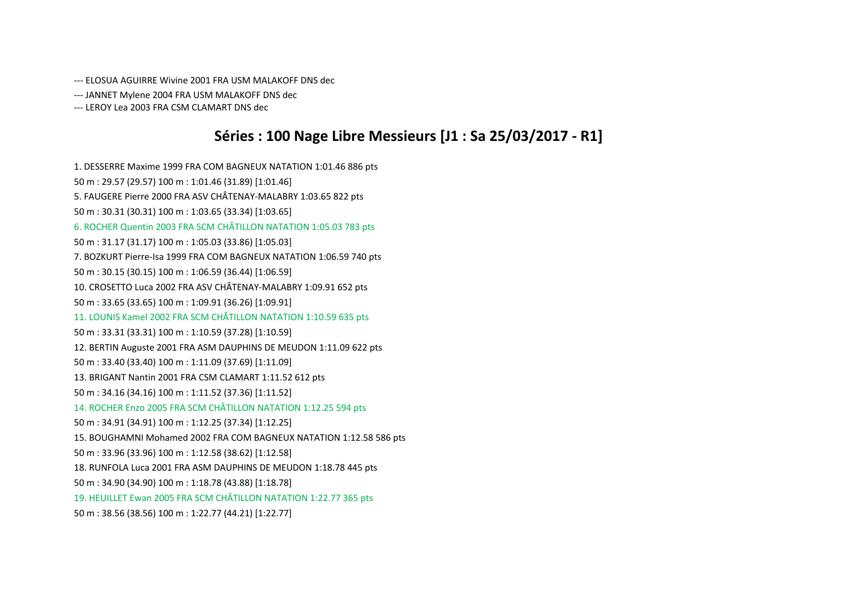‐‐‐ ELOSUA AGUIRRE Wivine 2001 FRA USM MALAKOFF DNS dec

‐‐‐ JANNET Mylene 2004 FRA USM MALAKOFF DNS dec

‐‐‐ LEROY Lea 2003 FRA CSM CLAMART DNS dec

### **Séries : 100 Nage Libre Messieurs [J1 : Sa 25/03/2017 ‐ R1]**

1. DESSERRE Maxime 1999 FRA COM BAGNEUX NATATION 1:01.46 886 pts 50 m : 29.57 (29.57) 100 <sup>m</sup> : 1:01.46 (31.89) [1:01.46] 5. FAUGERE Pierre 2000 FRA ASV CHÂTENAY‐MALABRY 1:03.65 <sup>822</sup> pts 50 m : 30.31 (30.31) 100 <sup>m</sup> : 1:03.65 (33.34) [1:03.65] 6. ROCHER Quentin <sup>2003</sup> FRA SCM CHÂTILLON NATATION 1:05.03 <sup>783</sup> pts 50 m : 31.17 (31.17) 100 <sup>m</sup> : 1:05.03 (33.86) [1:05.03] 7. BOZKURT Pierre‐Isa 1999 FRA COM BAGNEUX NATATION 1:06.59 740 pts 50 m : 30.15 (30.15) 100 <sup>m</sup> : 1:06.59 (36.44) [1:06.59] 10. CROSETTO Luca <sup>2002</sup> FRA ASV CHÂTENAY‐MALABRY 1:09.91 <sup>652</sup> pts 50 m : 33.65 (33.65) 100 <sup>m</sup> : 1:09.91 (36.26) [1:09.91] 11. LOUNIS Kamel 2002 FRA SCM CHÂTILLON NATATION 1:10.59 <sup>635</sup> pts 50 m : 33.31 (33.31) 100 <sup>m</sup> : 1:10.59 (37.28) [1:10.59] 12. BERTIN Auguste 2001 FRA ASM DAUPHINS DE MEUDON 1:11.09 622 pts 50 m : 33.40 (33.40) 100 <sup>m</sup> : 1:11.09 (37.69) [1:11.09] 13. BRIGANT Nantin 2001 FRA CSM CLAMART 1:11.52 612 pts 50 m : 34.16 (34.16) 100 <sup>m</sup> : 1:11.52 (37.36) [1:11.52] 14. ROCHER Enzo 2005 FRA SCM CHÂTILLON NATATION 1:12.25 <sup>594</sup> pts 50 m : 34.91 (34.91) 100 <sup>m</sup> : 1:12.25 (37.34) [1:12.25] 15. BOUGHAMNI Mohamed 2002 FRA COM BAGNEUX NATATION 1:12.58 586 pts 50 m : 33.96 (33.96) 100 <sup>m</sup> : 1:12.58 (38.62) [1:12.58] 18. RUNFOLA Luca 2001 FRA ASM DAUPHINS DE MEUDON 1:18.78 445 pts 50 m : 34.90 (34.90) 100 <sup>m</sup> : 1:18.78 (43.88) [1:18.78] 19. HEUILLET Ewan 2005 FRA SCM CHÂTILLON NATATION 1:22.77 <sup>365</sup> pts 50 m : 38.56 (38.56) 100 <sup>m</sup> : 1:22.77 (44.21) [1:22.77]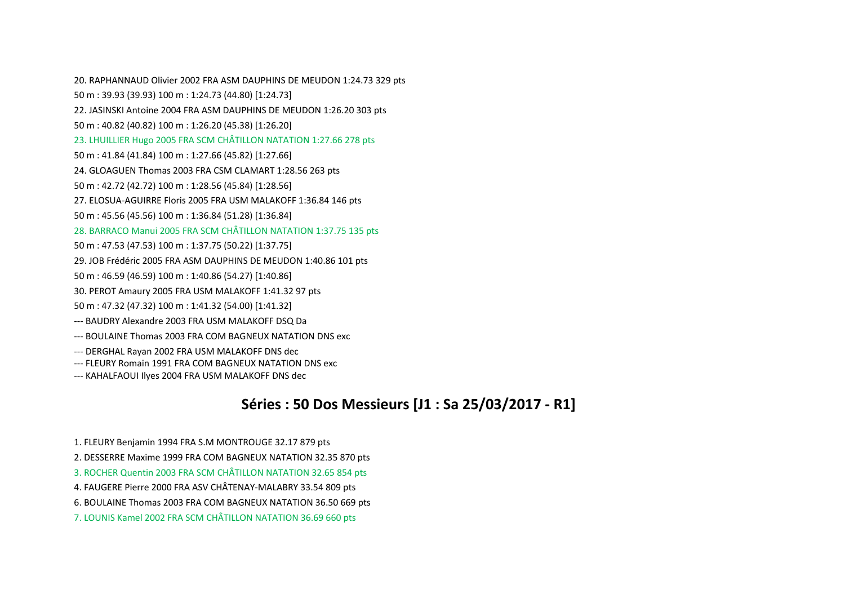20. RAPHANNAUD Olivier 2002 FRA ASM DAUPHINS DE MEUDON 1:24.73 329 pts 50 m : 39.93 (39.93) 100 <sup>m</sup> : 1:24.73 (44.80) [1:24.73] 22. JASINSKI Antoine 2004 FRA ASM DAUPHINS DE MEUDON 1:26.20 303 pts 50 m : 40.82 (40.82) 100 <sup>m</sup> : 1:26.20 (45.38) [1:26.20] 23. LHUILLIER Hugo <sup>2005</sup> FRA SCM CHÂTILLON NATATION 1:27.66 <sup>278</sup> pts 50 m : 41.84 (41.84) 100 <sup>m</sup> : 1:27.66 (45.82) [1:27.66] 24. GLOAGUEN Thomas 2003 FRA CSM CLAMART 1:28.56 263 pts 50 m : 42.72 (42.72) 100 <sup>m</sup> : 1:28.56 (45.84) [1:28.56] 27. ELOSUA‐AGUIRRE Floris 2005 FRA USM MALAKOFF 1:36.84 146 pts 50 m : 45.56 (45.56) 100 <sup>m</sup> : 1:36.84 (51.28) [1:36.84] 28. BARRACO Manui 2005 FRA SCM CHÂTILLON NATATION 1:37.75 <sup>135</sup> pts 50 m : 47.53 (47.53) 100 <sup>m</sup> : 1:37.75 (50.22) [1:37.75] 29. JOB Frédéric 2005 FRA ASM DAUPHINS DE MEUDON 1:40.86 101 pts 50 m : 46.59 (46.59) 100 <sup>m</sup> : 1:40.86 (54.27) [1:40.86] 30. PEROT Amaury 2005 FRA USM MALAKOFF 1:41.32 97 pts 50 m : 47.32 (47.32) 100 <sup>m</sup> : 1:41.32 (54.00) [1:41.32] ‐‐‐ BAUDRY Alexandre 2003 FRA USM MALAKOFF DSQ Da ‐‐‐ BOULAINE Thomas 2003 FRA COM BAGNEUX NATATION DNS exc ‐‐‐ DERGHAL Rayan 2002 FRA USM MALAKOFF DNS dec ‐‐‐ FLEURY Romain 1991 FRA COM BAGNEUX NATATION DNS exc ‐‐‐ KAHALFAOUI Ilyes 2004 FRA USM MALAKOFF DNS dec

# **Séries : 50 Dos Messieurs [J1 : Sa 25/03/2017 ‐ R1]**

- 1. FLEURY Benjamin 1994 FRA S.M MONTROUGE 32.17 879 pts
- 2. DESSERRE Maxime 1999 FRA COM BAGNEUX NATATION 32.35 870 pts
- 3. ROCHER Quentin <sup>2003</sup> FRA SCM CHÂTILLON NATATION 32.65 <sup>854</sup> pts
- 4. FAUGERE Pierre 2000 FRA ASV CHÂTENAY‐MALABRY 33.54 <sup>809</sup> pts
- 6. BOULAINE Thomas 2003 FRA COM BAGNEUX NATATION 36.50 669 pts
- 7. LOUNIS Kamel 2002 FRA SCM CHÂTILLON NATATION 36.69 <sup>660</sup> pts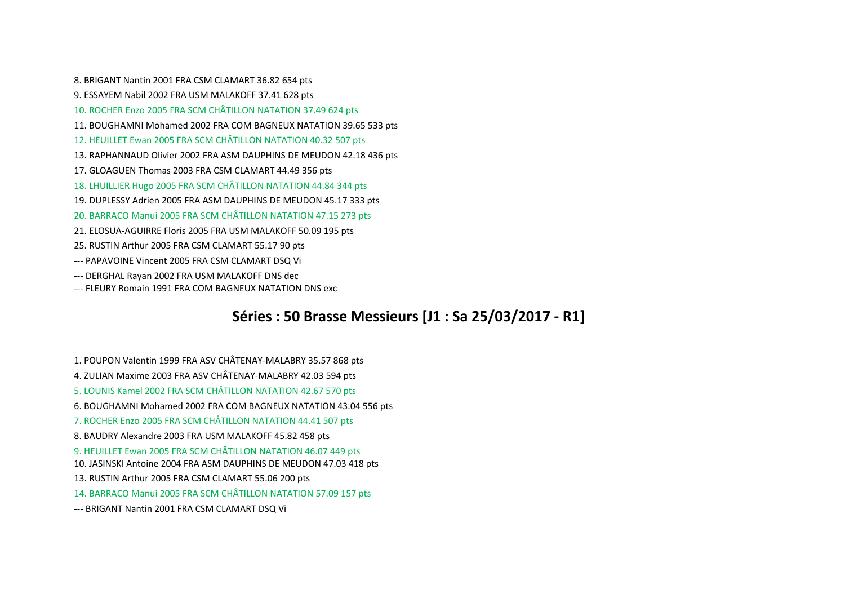8. BRIGANT Nantin 2001 FRA CSM CLAMART 36.82 654 pts 9. ESSAYEM Nabil 2002 FRA USM MALAKOFF 37.41 628 pts 10. ROCHER Enzo 2005 FRA SCM CHÂTILLON NATATION 37.49 <sup>624</sup> pts 11. BOUGHAMNI Mohamed 2002 FRA COM BAGNEUX NATATION 39.65 533 pts 12. HEUILLET Ewan 2005 FRA SCM CHÂTILLON NATATION 40.32 <sup>507</sup> pts 13. RAPHANNAUD Olivier 2002 FRA ASM DAUPHINS DE MEUDON 42.18 436 pts 17. GLOAGUEN Thomas 2003 FRA CSM CLAMART 44.49 356 pts 18. LHUILLIER Hugo <sup>2005</sup> FRA SCM CHÂTILLON NATATION 44.84 <sup>344</sup> pts 19. DUPLESSY Adrien 2005 FRA ASM DAUPHINS DE MEUDON 45.17 333 pts 20. BARRACO Manui 2005 FRA SCM CHÂTILLON NATATION 47.15 <sup>273</sup> pts 21. ELOSUA‐AGUIRRE Floris 2005 FRA USM MALAKOFF 50.09 195 pts 25. RUSTIN Arthur 2005 FRA CSM CLAMART 55.17 90 pts ‐‐‐ PAPAVOINE Vincent 2005 FRA CSM CLAMART DSQ Vi ‐‐‐ DERGHAL Rayan 2002 FRA USM MALAKOFF DNS dec ‐‐‐ FLEURY Romain 1991 FRA COM BAGNEUX NATATION DNS exc

### **Séries : 50 Brasse Messieurs [J1 : Sa 25/03/2017 ‐ R1]**

- 1. POUPON Valentin <sup>1999</sup> FRA ASV CHÂTENAY‐MALABRY 35.57 <sup>868</sup> pts
- 4. ZULIAN Maxime <sup>2003</sup> FRA ASV CHÂTENAY‐MALABRY 42.03 <sup>594</sup> pts
- 5. LOUNIS Kamel 2002 FRA SCM CHÂTILLON NATATION 42.67 <sup>570</sup> pts
- 6. BOUGHAMNI Mohamed 2002 FRA COM BAGNEUX NATATION 43.04 556 pts
- 7. ROCHER Enzo 2005 FRA SCM CHÂTILLON NATATION 44.41 <sup>507</sup> pts
- 8. BAUDRY Alexandre 2003 FRA USM MALAKOFF 45.82 458 pts
- 9. HEUILLET Ewan 2005 FRA SCM CHÂTILLON NATATION 46.07 <sup>449</sup> pts
- 10. JASINSKI Antoine 2004 FRA ASM DAUPHINS DE MEUDON 47.03 418 pts
- 13. RUSTIN Arthur 2005 FRA CSM CLAMART 55.06 200 pts
- 14. BARRACO Manui 2005 FRA SCM CHÂTILLON NATATION 57.09 <sup>157</sup> pts
- ‐‐‐ BRIGANT Nantin 2001 FRA CSM CLAMART DSQ Vi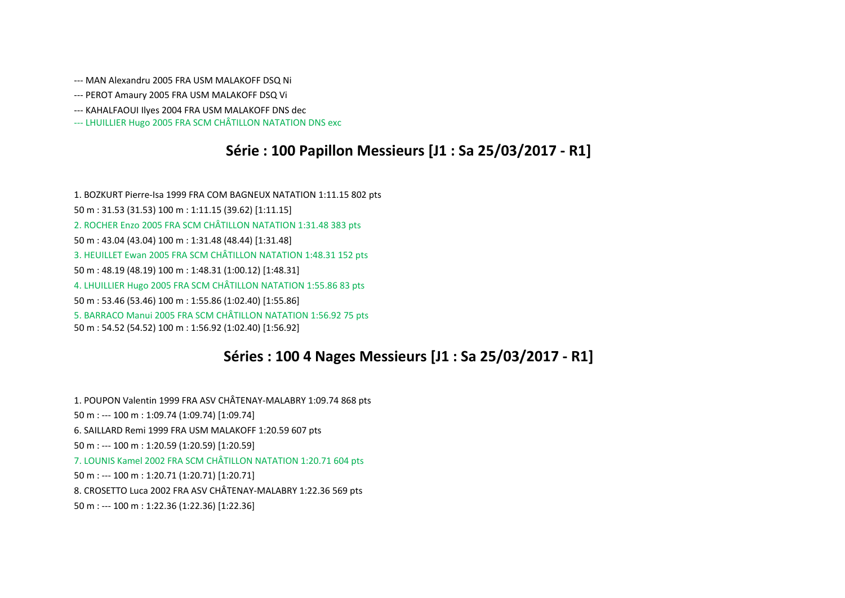- ‐‐‐ MAN Alexandru 2005 FRA USM MALAKOFF DSQ Ni
- ‐‐‐ PEROT Amaury 2005 FRA USM MALAKOFF DSQ Vi
- ‐‐‐ KAHALFAOUI Ilyes 2004 FRA USM MALAKOFF DNS dec
- ‐‐‐ LHUILLIER Hugo <sup>2005</sup> FRA SCM CHÂTILLON NATATION DNS exc

### **Série : 100 Papillon Messieurs [J1 : Sa 25/03/2017 ‐ R1]**

1. BOZKURT Pierre‐Isa 1999 FRA COM BAGNEUX NATATION 1:11.15 802 pts 50 m : 31.53 (31.53) 100 <sup>m</sup> : 1:11.15 (39.62) [1:11.15] 2. ROCHER Enzo 2005 FRA SCM CHÂTILLON NATATION 1:31.48 <sup>383</sup> pts 50 m : 43.04 (43.04) 100 <sup>m</sup> : 1:31.48 (48.44) [1:31.48] 3. HEUILLET Ewan 2005 FRA SCM CHÂTILLON NATATION 1:48.31 <sup>152</sup> pts 50 m : 48.19 (48.19) 100 <sup>m</sup> : 1:48.31 (1:00.12) [1:48.31] 4. LHUILLIER Hugo <sup>2005</sup> FRA SCM CHÂTILLON NATATION 1:55.86 <sup>83</sup> pts 50 m : 53.46 (53.46) 100 <sup>m</sup> : 1:55.86 (1:02.40) [1:55.86] 5. BARRACO Manui 2005 FRA SCM CHÂTILLON NATATION 1:56.92 <sup>75</sup> pts 50 m : 54.52 (54.52) 100 <sup>m</sup> : 1:56.92 (1:02.40) [1:56.92]

#### **Séries : 100 4 Nages Messieurs [J1 : Sa 25/03/2017 ‐ R1]**

1. POUPON Valentin <sup>1999</sup> FRA ASV CHÂTENAY‐MALABRY 1:09.74 <sup>868</sup> pts 50 m : ‐‐‐ 100 <sup>m</sup> : 1:09.74 (1:09.74) [1:09.74] 6. SAILLARD Remi 1999 FRA USM MALAKOFF 1:20.59 607 pts 50 m : ‐‐‐ 100 <sup>m</sup> : 1:20.59 (1:20.59) [1:20.59] 7. LOUNIS Kamel 2002 FRA SCM CHÂTILLON NATATION 1:20.71 <sup>604</sup> pts 50 m : ‐‐‐ 100 <sup>m</sup> : 1:20.71 (1:20.71) [1:20.71] 8. CROSETTO Luca <sup>2002</sup> FRA ASV CHÂTENAY‐MALABRY 1:22.36 <sup>569</sup> pts 50 m : ‐‐‐ 100 <sup>m</sup> : 1:22.36 (1:22.36) [1:22.36]